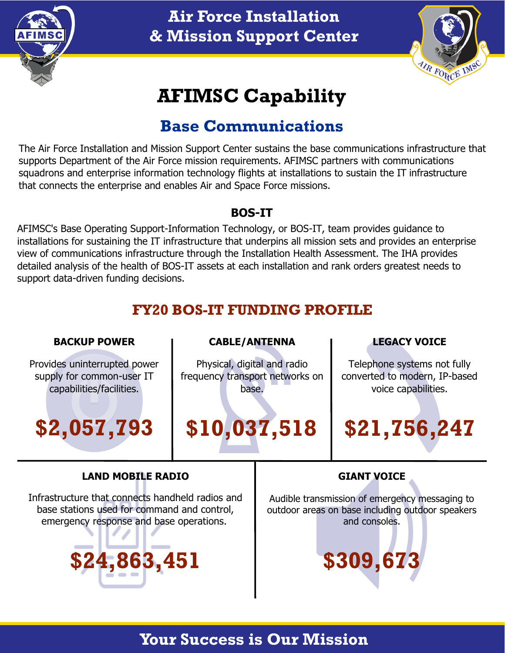

# **Air Force Installation & Mission Support Center**



# **AFIMSC Capability**

# **Base Communications**

The Air Force Installation and Mission Support Center sustains the base communications infrastructure that supports Department of the Air Force mission requirements. AFIMSC partners with communications squadrons and enterprise information technology flights at installations to sustain the IT infrastructure that connects the enterprise and enables Air and Space Force missions.

#### **BOS-IT**

AFIMSC's Base Operating Support-Information Technology, or BOS-IT, team provides guidance to installations for sustaining the IT infrastructure that underpins all mission sets and provides an enterprise view of communications infrastructure through the Installation Health Assessment. The IHA provides detailed analysis of the health of BOS-IT assets at each installation and rank orders greatest needs to support data-driven funding decisions.

# **FY20 BOS-IT FUNDING PROFILE**

| <b>BACKUP POWER</b>                              | <b>CABLE/ANTENNA</b>            |                                                  | <b>LEGACY VOICE</b>           |
|--------------------------------------------------|---------------------------------|--------------------------------------------------|-------------------------------|
| Provides uninterrupted power                     | Physical, digital and radio     |                                                  | Telephone systems not fully   |
| supply for common-user IT                        | frequency transport networks on |                                                  | converted to modern, IP-based |
| capabilities/facilities.                         | base.                           |                                                  | voice capabilities.           |
| \$2,057,793                                      | \$10,037,518                    |                                                  | \$21,756,247                  |
| <b>LAND MOBILE RADIO</b>                         |                                 | <b>GIANT VOICE</b>                               |                               |
| Infrastructure that connects handheld radios and |                                 | Audible transmission of emergency messaging to   |                               |
| base stations used for command and control,      |                                 | outdoor areas on base including outdoor speakers |                               |
| emergency response and base operations.          |                                 | and consoles.                                    |                               |
| \$24,863,451                                     |                                 | \$309,673                                        |                               |

## **Your Success is Our Mission**